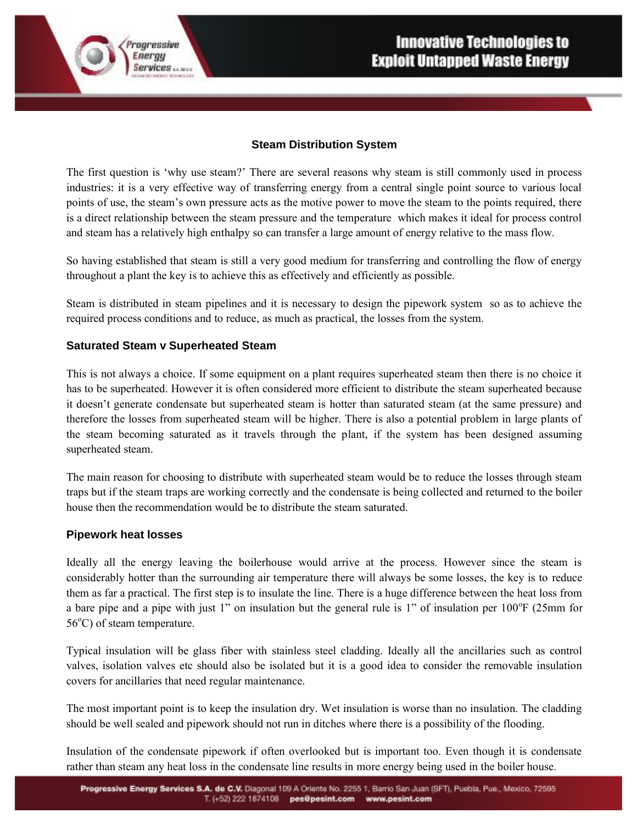## **Steam Distribution System**

The first question is 'why use steam?' There are several reasons why steam is still commonly used in process industries: it is a very effective way of transferring energy from a central single point source to various local points of use, the steam's own pressure acts as the motive power to move the steam to the points required, there is a direct relationship between the steam pressure and the temperature which makes it ideal for process control and steam has a relatively high enthalpy so can transfer a large amount of energy relative to the mass flow.

So having established that steam is still a very good medium for transferring and controlling the flow of energy throughout a plant the key is to achieve this as effectively and efficiently as possible.

Steam is distributed in steam pipelines and it is necessary to design the pipework system so as to achieve the required process conditions and to reduce, as much as practical, the losses from the system.

## **Saturated Steam v Superheated Steam**

rogressive Energy

**Services** *MARCH* 

This is not always a choice. If some equipment on a plant requires superheated steam then there is no choice it has to be superheated. However it is often considered more efficient to distribute the steam superheated because it doesn't generate condensate but superheated steam is hotter than saturated steam (at the same pressure) and therefore the losses from superheated steam will be higher. There is also a potential problem in large plants of the steam becoming saturated as it travels through the plant, if the system has been designed assuming superheated steam.

The main reason for choosing to distribute with superheated steam would be to reduce the losses through steam traps but if the steam traps are working correctly and the condensate is being collected and returned to the boiler house then the recommendation would be to distribute the steam saturated.

## **Pipework heat losses**

Ideally all the energy leaving the boilerhouse would arrive at the process. However since the steam is considerably hotter than the surrounding air temperature there will always be some losses, the key is to reduce them as far a practical. The first step is to insulate the line. There is a huge difference between the heat loss from a bare pipe and a pipe with just 1" on insulation but the general rule is 1" of insulation per  $100^{\circ}$ F (25mm for  $56^{\circ}$ C) of steam temperature.

Typical insulation will be glass fiber with stainless steel cladding. Ideally all the ancillaries such as control valves, isolation valves etc should also be isolated but it is a good idea to consider the removable insulation covers for ancillaries that need regular maintenance.

The most important point is to keep the insulation dry. Wet insulation is worse than no insulation. The cladding should be well sealed and pipework should not run in ditches where there is a possibility of the flooding.

Insulation of the condensate pipework if often overlooked but is important too. Even though it is condensate rather than steam any heat loss in the condensate line results in more energy being used in the boiler house.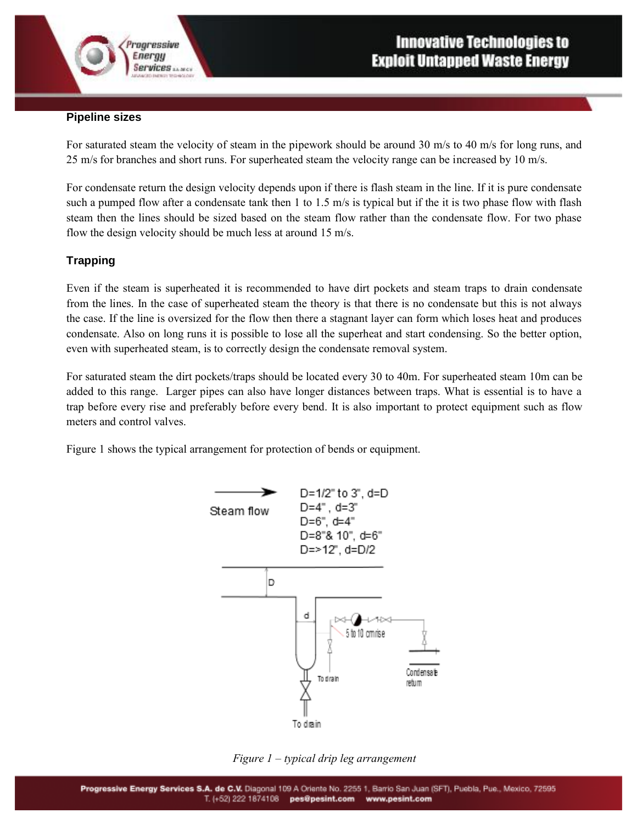

#### **Pipeline sizes**

rogressive Energy

**Services** *MARCH* 

For saturated steam the velocity of steam in the pipework should be around 30 m/s to 40 m/s for long runs, and 25 m/s for branches and short runs. For superheated steam the velocity range can be increased by 10 m/s.

For condensate return the design velocity depends upon if there is flash steam in the line. If it is pure condensate such a pumped flow after a condensate tank then 1 to 1.5 m/s is typical but if the it is two phase flow with flash steam then the lines should be sized based on the steam flow rather than the condensate flow. For two phase flow the design velocity should be much less at around 15 m/s.

## **Trapping**

Even if the steam is superheated it is recommended to have dirt pockets and steam traps to drain condensate from the lines. In the case of superheated steam the theory is that there is no condensate but this is not always the case. If the line is oversized for the flow then there a stagnant layer can form which loses heat and produces condensate. Also on long runs it is possible to lose all the superheat and start condensing. So the better option, even with superheated steam, is to correctly design the condensate removal system.

For saturated steam the dirt pockets/traps should be located every 30 to 40m. For superheated steam 10m can be added to this range. Larger pipes can also have longer distances between traps. What is essential is to have a trap before every rise and preferably before every bend. It is also important to protect equipment such as flow meters and control valves.

Figure 1 shows the typical arrangement for protection of bends or equipment.



*Figure 1 – typical drip leg arrangement*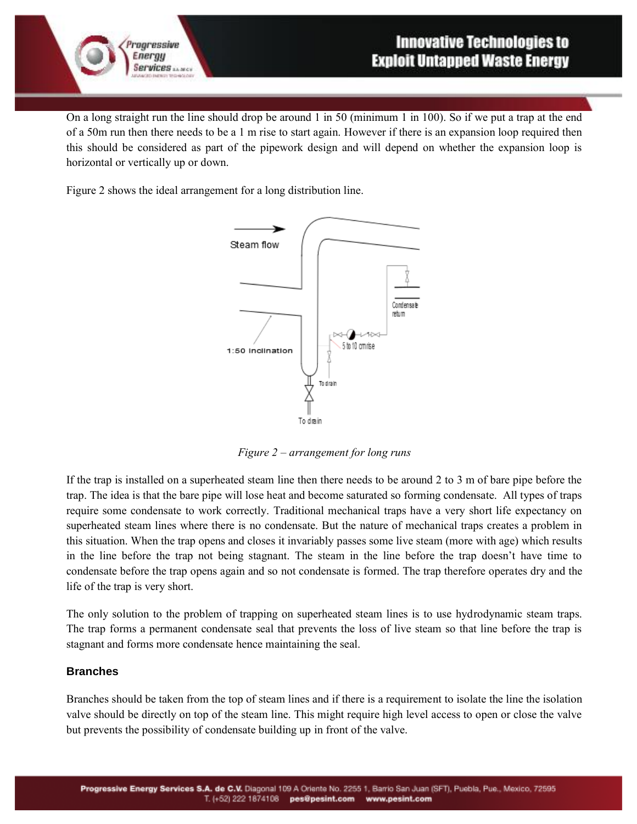

On a long straight run the line should drop be around 1 in 50 (minimum 1 in 100). So if we put a trap at the end of a 50m run then there needs to be a 1 m rise to start again. However if there is an expansion loop required then this should be considered as part of the pipework design and will depend on whether the expansion loop is horizontal or vertically up or down.

Figure 2 shows the ideal arrangement for a long distribution line.

rogressive Energy

**Services** *MARCH* 



*Figure 2 – arrangement for long runs*

If the trap is installed on a superheated steam line then there needs to be around 2 to 3 m of bare pipe before the trap. The idea is that the bare pipe will lose heat and become saturated so forming condensate. All types of traps require some condensate to work correctly. Traditional mechanical traps have a very short life expectancy on superheated steam lines where there is no condensate. But the nature of mechanical traps creates a problem in this situation. When the trap opens and closes it invariably passes some live steam (more with age) which results in the line before the trap not being stagnant. The steam in the line before the trap doesn't have time to condensate before the trap opens again and so not condensate is formed. The trap therefore operates dry and the life of the trap is very short.

The only solution to the problem of trapping on superheated steam lines is to use hydrodynamic steam traps. The trap forms a permanent condensate seal that prevents the loss of live steam so that line before the trap is stagnant and forms more condensate hence maintaining the seal.

## **Branches**

Branches should be taken from the top of steam lines and if there is a requirement to isolate the line the isolation valve should be directly on top of the steam line. This might require high level access to open or close the valve but prevents the possibility of condensate building up in front of the valve.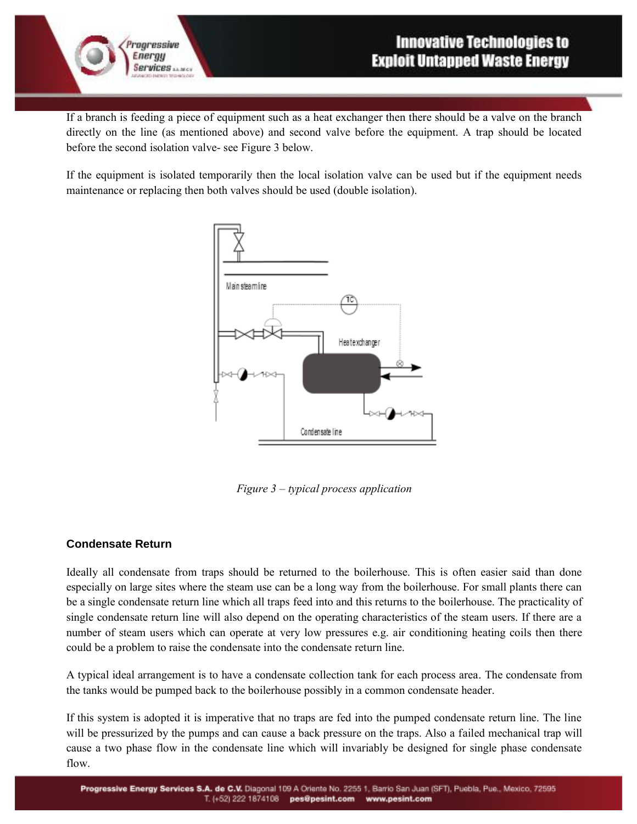

If a branch is feeding a piece of equipment such as a heat exchanger then there should be a valve on the branch directly on the line (as mentioned above) and second valve before the equipment. A trap should be located before the second isolation valve- see Figure 3 below.

If the equipment is isolated temporarily then the local isolation valve can be used but if the equipment needs maintenance or replacing then both valves should be used (double isolation).



*Figure 3 – typical process application*

## **Condensate Return**

rogressive Energy

**Services** *MARCH* 

Ideally all condensate from traps should be returned to the boilerhouse. This is often easier said than done especially on large sites where the steam use can be a long way from the boilerhouse. For small plants there can be a single condensate return line which all traps feed into and this returns to the boilerhouse. The practicality of single condensate return line will also depend on the operating characteristics of the steam users. If there are a number of steam users which can operate at very low pressures e.g. air conditioning heating coils then there could be a problem to raise the condensate into the condensate return line.

A typical ideal arrangement is to have a condensate collection tank for each process area. The condensate from the tanks would be pumped back to the boilerhouse possibly in a common condensate header.

If this system is adopted it is imperative that no traps are fed into the pumped condensate return line. The line will be pressurized by the pumps and can cause a back pressure on the traps. Also a failed mechanical trap will cause a two phase flow in the condensate line which will invariably be designed for single phase condensate flow.